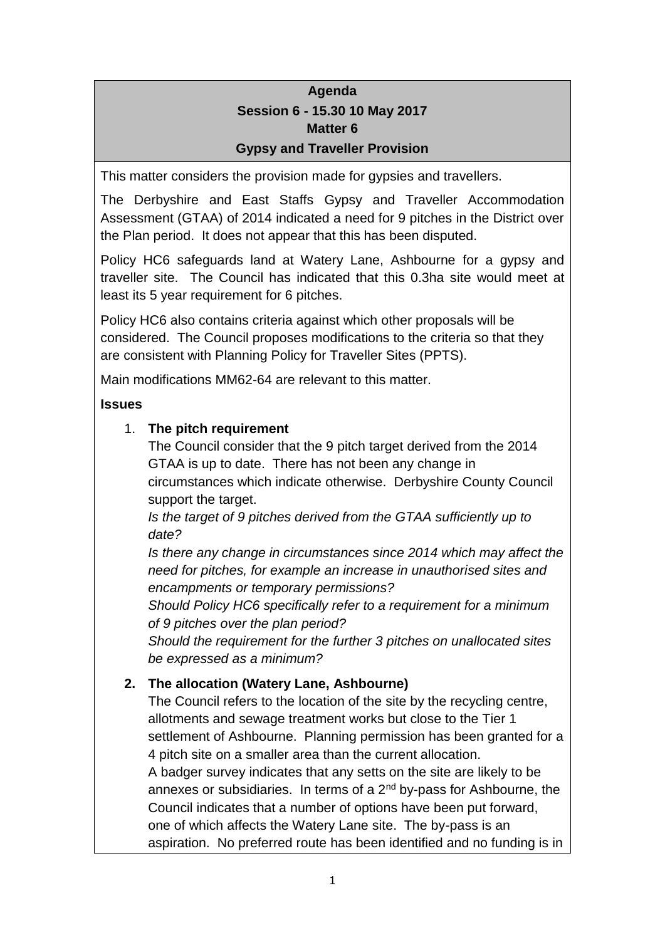# **Agenda Session 6 - 15.30 10 May 2017 Matter 6 Gypsy and Traveller Provision**

This matter considers the provision made for gypsies and travellers.

The Derbyshire and East Staffs Gypsy and Traveller Accommodation Assessment (GTAA) of 2014 indicated a need for 9 pitches in the District over the Plan period. It does not appear that this has been disputed.

Policy HC6 safeguards land at Watery Lane, Ashbourne for a gypsy and traveller site. The Council has indicated that this 0.3ha site would meet at least its 5 year requirement for 6 pitches.

Policy HC6 also contains criteria against which other proposals will be considered. The Council proposes modifications to the criteria so that they are consistent with Planning Policy for Traveller Sites (PPTS).

Main modifications MM62-64 are relevant to this matter.

## **Issues**

## 1. **The pitch requirement**

The Council consider that the 9 pitch target derived from the 2014 GTAA is up to date. There has not been any change in circumstances which indicate otherwise. Derbyshire County Council support the target.

*Is the target of 9 pitches derived from the GTAA sufficiently up to date?*

*Is there any change in circumstances since 2014 which may affect the need for pitches, for example an increase in unauthorised sites and encampments or temporary permissions?*

*Should Policy HC6 specifically refer to a requirement for a minimum of 9 pitches over the plan period?*

*Should the requirement for the further 3 pitches on unallocated sites be expressed as a minimum?*

## **2. The allocation (Watery Lane, Ashbourne)**

The Council refers to the location of the site by the recycling centre, allotments and sewage treatment works but close to the Tier 1 settlement of Ashbourne. Planning permission has been granted for a 4 pitch site on a smaller area than the current allocation. A badger survey indicates that any setts on the site are likely to be

annexes or subsidiaries. In terms of a  $2<sup>nd</sup>$  by-pass for Ashbourne, the Council indicates that a number of options have been put forward, one of which affects the Watery Lane site. The by-pass is an aspiration. No preferred route has been identified and no funding is in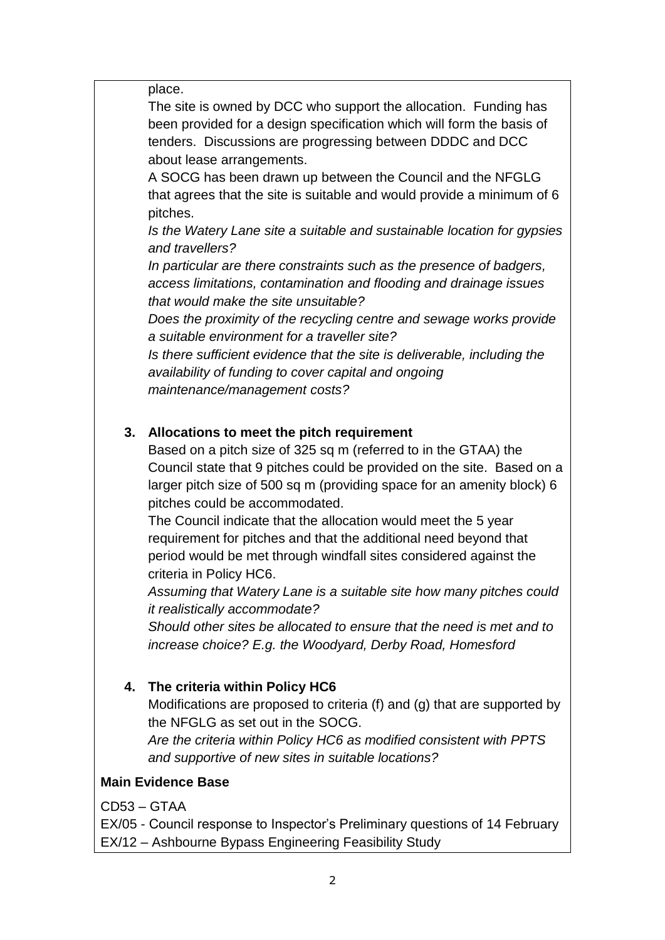place.

The site is owned by DCC who support the allocation. Funding has been provided for a design specification which will form the basis of tenders. Discussions are progressing between DDDC and DCC about lease arrangements.

A SOCG has been drawn up between the Council and the NFGLG that agrees that the site is suitable and would provide a minimum of 6 pitches.

*Is the Watery Lane site a suitable and sustainable location for gypsies and travellers?*

*In particular are there constraints such as the presence of badgers, access limitations, contamination and flooding and drainage issues that would make the site unsuitable?*

*Does the proximity of the recycling centre and sewage works provide a suitable environment for a traveller site?*

*Is there sufficient evidence that the site is deliverable, including the availability of funding to cover capital and ongoing* 

*maintenance/management costs?*

#### **3. Allocations to meet the pitch requirement**

Based on a pitch size of 325 sq m (referred to in the GTAA) the Council state that 9 pitches could be provided on the site. Based on a larger pitch size of 500 sq m (providing space for an amenity block) 6 pitches could be accommodated.

The Council indicate that the allocation would meet the 5 year requirement for pitches and that the additional need beyond that period would be met through windfall sites considered against the criteria in Policy HC6.

*Assuming that Watery Lane is a suitable site how many pitches could it realistically accommodate?*

*Should other sites be allocated to ensure that the need is met and to increase choice? E.g. the Woodyard, Derby Road, Homesford*

#### **4. The criteria within Policy HC6**

Modifications are proposed to criteria (f) and (g) that are supported by the NFGLG as set out in the SOCG.

*Are the criteria within Policy HC6 as modified consistent with PPTS and supportive of new sites in suitable locations?*

#### **Main Evidence Base**

CD53 – GTAA

EX/05 - Council response to Inspector's Preliminary questions of 14 February EX/12 – Ashbourne Bypass Engineering Feasibility Study